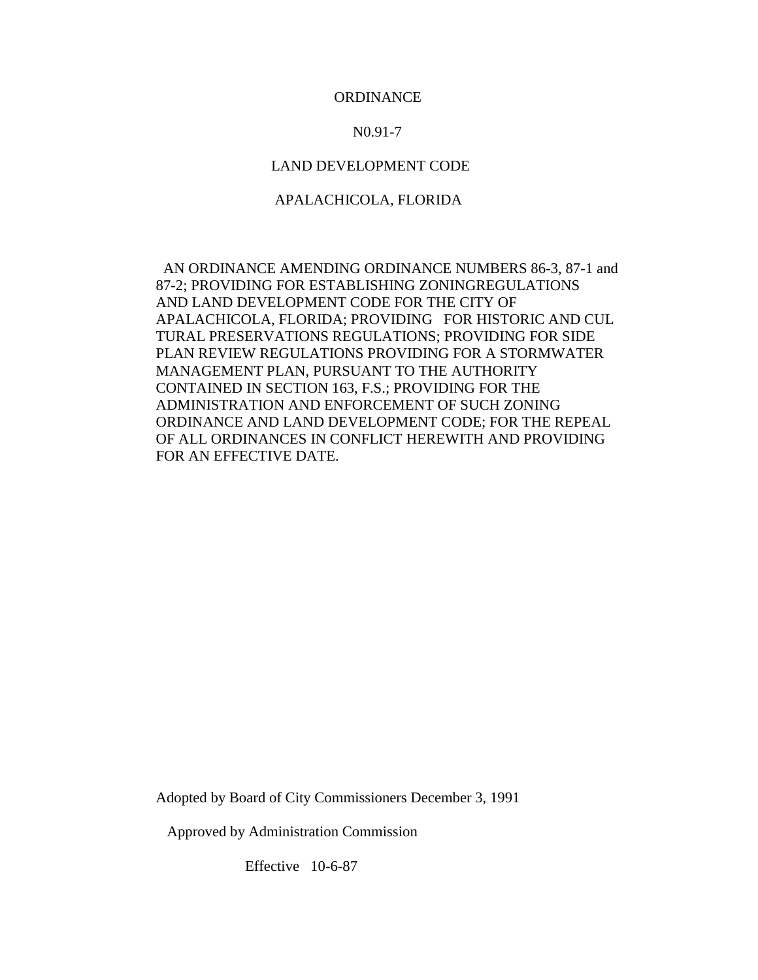## **ORDINANCE**

#### N0.91-7

## LAND DEVELOPMENT CODE

### APALACHICOLA, FLORIDA

 AN ORDINANCE AMENDING ORDINANCE NUMBERS 86-3, 87-1 and 87-2; PROVIDING FOR ESTABLISHING ZONINGREGULATIONS AND LAND DEVELOPMENT CODE FOR THE CITY OF APALACHICOLA, FLORIDA; PROVIDING FOR HISTORIC AND CUL TURAL PRESERVATIONS REGULATIONS; PROVIDING FOR SIDE PLAN REVIEW REGULATIONS PROVIDING FOR A STORMWATER MANAGEMENT PLAN, PURSUANT TO THE AUTHORITY CONTAINED IN SECTION 163, F.S.; PROVIDING FOR THE ADMINISTRATION AND ENFORCEMENT OF SUCH ZONING ORDINANCE AND LAND DEVELOPMENT CODE; FOR THE REPEAL OF ALL ORDINANCES IN CONFLICT HEREWITH AND PROVIDING FOR AN EFFECTIVE DATE.

Adopted by Board of City Commissioners December 3, 1991

Approved by Administration Commission

Effective 10-6-87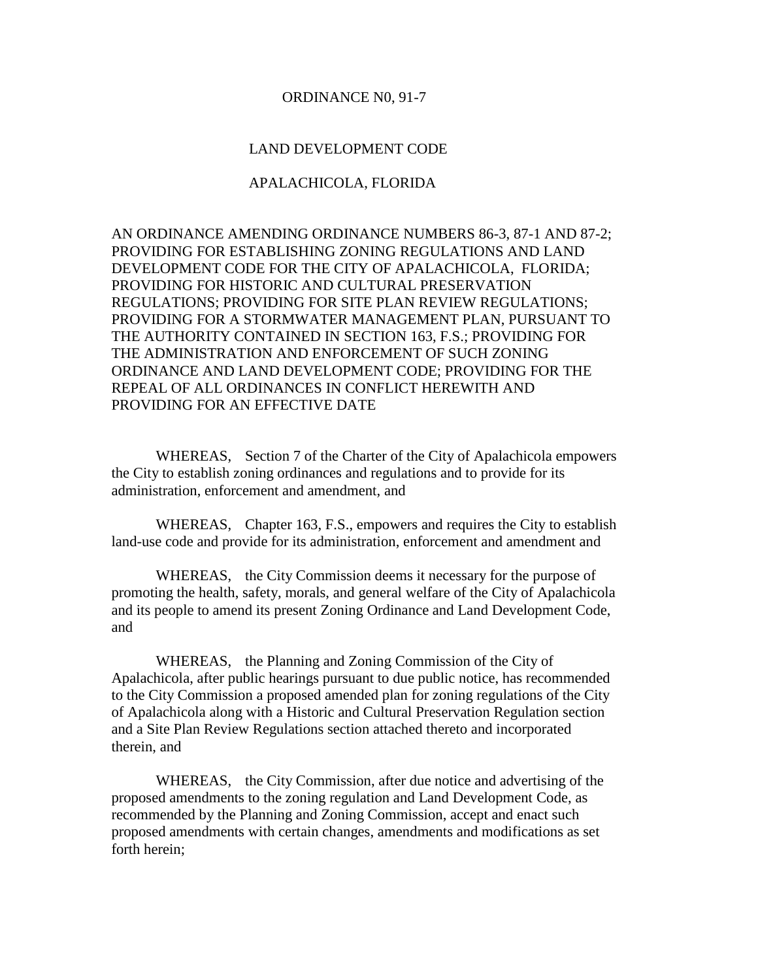#### ORDINANCE N0, 91-7

## LAND DEVELOPMENT CODE

## APALACHICOLA, FLORIDA

AN ORDINANCE AMENDING ORDINANCE NUMBERS 86-3, 87-1 AND 87-2; PROVIDING FOR ESTABLISHING ZONING REGULATIONS AND LAND DEVELOPMENT CODE FOR THE CITY OF APALACHICOLA, FLORIDA; PROVIDING FOR HISTORIC AND CULTURAL PRESERVATION REGULATIONS; PROVIDING FOR SITE PLAN REVIEW REGULATIONS; PROVIDING FOR A STORMWATER MANAGEMENT PLAN, PURSUANT TO THE AUTHORITY CONTAINED IN SECTION 163, F.S.; PROVIDING FOR THE ADMINISTRATION AND ENFORCEMENT OF SUCH ZONING ORDINANCE AND LAND DEVELOPMENT CODE; PROVIDING FOR THE REPEAL OF ALL ORDINANCES IN CONFLICT HEREWITH AND PROVIDING FOR AN EFFECTIVE DATE

WHEREAS, Section 7 of the Charter of the City of Apalachicola empowers the City to establish zoning ordinances and regulations and to provide for its administration, enforcement and amendment, and

WHEREAS, Chapter 163, F.S., empowers and requires the City to establish land-use code and provide for its administration, enforcement and amendment and

WHEREAS, the City Commission deems it necessary for the purpose of promoting the health, safety, morals, and general welfare of the City of Apalachicola and its people to amend its present Zoning Ordinance and Land Development Code, and

WHEREAS, the Planning and Zoning Commission of the City of Apalachicola, after public hearings pursuant to due public notice, has recommended to the City Commission a proposed amended plan for zoning regulations of the City of Apalachicola along with a Historic and Cultural Preservation Regulation section and a Site Plan Review Regulations section attached thereto and incorporated therein, and

WHEREAS, the City Commission, after due notice and advertising of the proposed amendments to the zoning regulation and Land Development Code, as recommended by the Planning and Zoning Commission, accept and enact such proposed amendments with certain changes, amendments and modifications as set forth herein;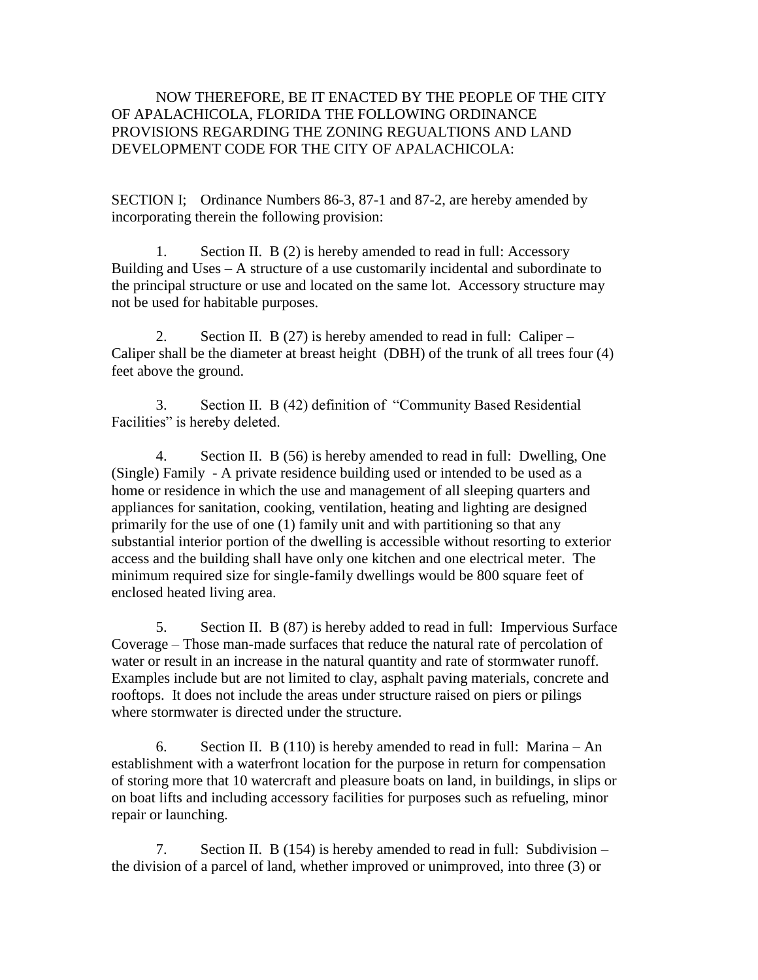## NOW THEREFORE, BE IT ENACTED BY THE PEOPLE OF THE CITY OF APALACHICOLA, FLORIDA THE FOLLOWING ORDINANCE PROVISIONS REGARDING THE ZONING REGUALTIONS AND LAND DEVELOPMENT CODE FOR THE CITY OF APALACHICOLA:

SECTION I; Ordinance Numbers 86-3, 87-1 and 87-2, are hereby amended by incorporating therein the following provision:

1. Section II. B (2) is hereby amended to read in full: Accessory Building and Uses – A structure of a use customarily incidental and subordinate to the principal structure or use and located on the same lot. Accessory structure may not be used for habitable purposes.

2. Section II. B (27) is hereby amended to read in full: Caliper – Caliper shall be the diameter at breast height (DBH) of the trunk of all trees four (4) feet above the ground.

3. Section II. B (42) definition of "Community Based Residential Facilities" is hereby deleted.

4. Section II. B (56) is hereby amended to read in full: Dwelling, One (Single) Family - A private residence building used or intended to be used as a home or residence in which the use and management of all sleeping quarters and appliances for sanitation, cooking, ventilation, heating and lighting are designed primarily for the use of one (1) family unit and with partitioning so that any substantial interior portion of the dwelling is accessible without resorting to exterior access and the building shall have only one kitchen and one electrical meter. The minimum required size for single-family dwellings would be 800 square feet of enclosed heated living area.

5. Section II. B (87) is hereby added to read in full: Impervious Surface Coverage – Those man-made surfaces that reduce the natural rate of percolation of water or result in an increase in the natural quantity and rate of stormwater runoff. Examples include but are not limited to clay, asphalt paving materials, concrete and rooftops. It does not include the areas under structure raised on piers or pilings where stormwater is directed under the structure.

6. Section II. B (110) is hereby amended to read in full: Marina – An establishment with a waterfront location for the purpose in return for compensation of storing more that 10 watercraft and pleasure boats on land, in buildings, in slips or on boat lifts and including accessory facilities for purposes such as refueling, minor repair or launching.

7. Section II. B (154) is hereby amended to read in full: Subdivision – the division of a parcel of land, whether improved or unimproved, into three (3) or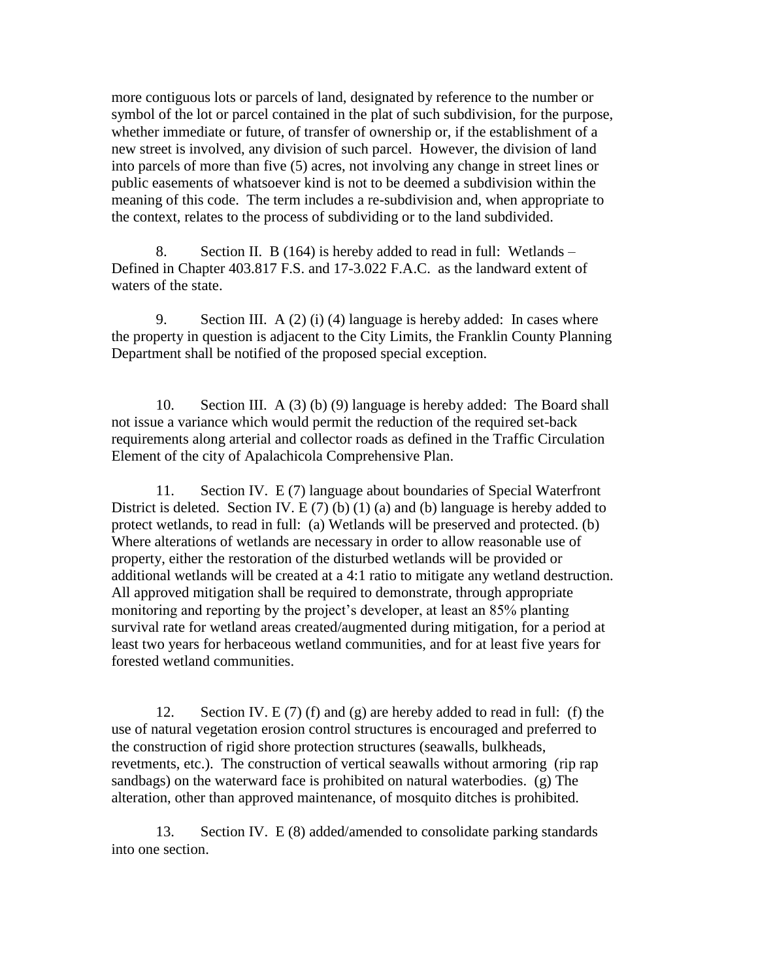more contiguous lots or parcels of land, designated by reference to the number or symbol of the lot or parcel contained in the plat of such subdivision, for the purpose, whether immediate or future, of transfer of ownership or, if the establishment of a new street is involved, any division of such parcel. However, the division of land into parcels of more than five (5) acres, not involving any change in street lines or public easements of whatsoever kind is not to be deemed a subdivision within the meaning of this code. The term includes a re-subdivision and, when appropriate to the context, relates to the process of subdividing or to the land subdivided.

8. Section II. B (164) is hereby added to read in full: Wetlands – Defined in Chapter 403.817 F.S. and 17-3.022 F.A.C. as the landward extent of waters of the state.

9. Section III.  $A(2)(i)$  (4) language is hereby added: In cases where the property in question is adjacent to the City Limits, the Franklin County Planning Department shall be notified of the proposed special exception.

10. Section III. A (3) (b) (9) language is hereby added: The Board shall not issue a variance which would permit the reduction of the required set-back requirements along arterial and collector roads as defined in the Traffic Circulation Element of the city of Apalachicola Comprehensive Plan.

11. Section IV. E (7) language about boundaries of Special Waterfront District is deleted. Section IV. E  $(7)$  (b)  $(1)$  (a) and (b) language is hereby added to protect wetlands, to read in full: (a) Wetlands will be preserved and protected. (b) Where alterations of wetlands are necessary in order to allow reasonable use of property, either the restoration of the disturbed wetlands will be provided or additional wetlands will be created at a 4:1 ratio to mitigate any wetland destruction. All approved mitigation shall be required to demonstrate, through appropriate monitoring and reporting by the project's developer, at least an 85% planting survival rate for wetland areas created/augmented during mitigation, for a period at least two years for herbaceous wetland communities, and for at least five years for forested wetland communities.

12. Section IV. E  $(7)$  (f) and  $(g)$  are hereby added to read in full: (f) the use of natural vegetation erosion control structures is encouraged and preferred to the construction of rigid shore protection structures (seawalls, bulkheads, revetments, etc.). The construction of vertical seawalls without armoring (rip rap sandbags) on the waterward face is prohibited on natural waterbodies. (g) The alteration, other than approved maintenance, of mosquito ditches is prohibited.

13. Section IV. E (8) added/amended to consolidate parking standards into one section.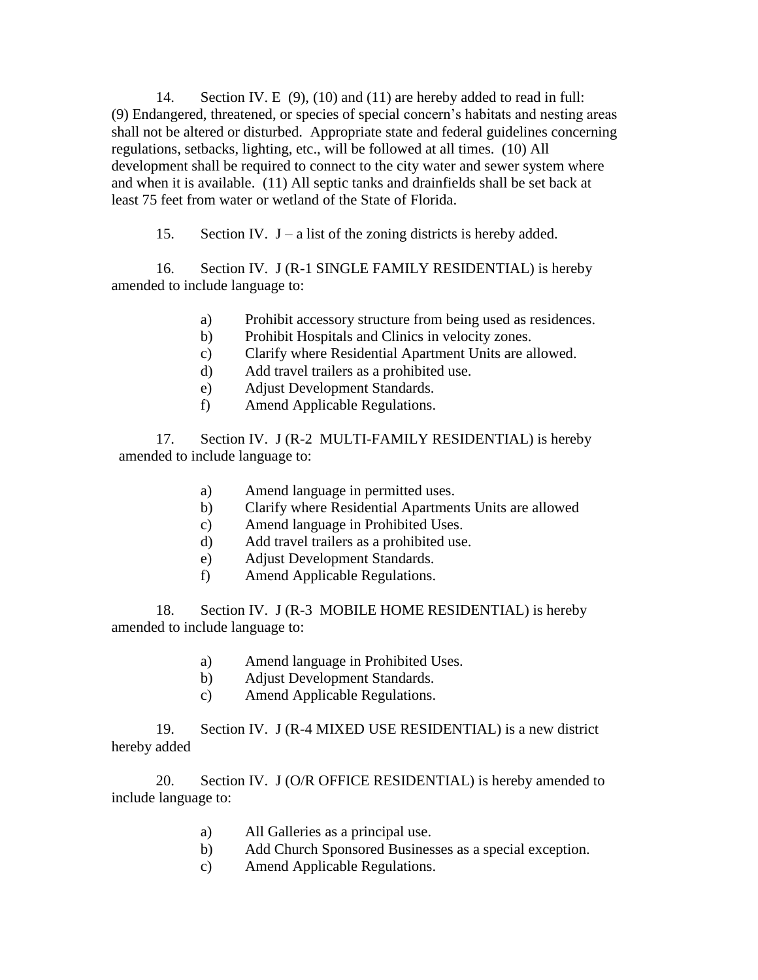14. Section IV. E (9), (10) and (11) are hereby added to read in full: (9) Endangered, threatened, or species of special concern's habitats and nesting areas shall not be altered or disturbed. Appropriate state and federal guidelines concerning regulations, setbacks, lighting, etc., will be followed at all times. (10) All development shall be required to connect to the city water and sewer system where and when it is available. (11) All septic tanks and drainfields shall be set back at least 75 feet from water or wetland of the State of Florida.

15. Section IV.  $J - a$  list of the zoning districts is hereby added.

16. Section IV. J (R-1 SINGLE FAMILY RESIDENTIAL) is hereby amended to include language to:

- a) Prohibit accessory structure from being used as residences.
- b) Prohibit Hospitals and Clinics in velocity zones.
- c) Clarify where Residential Apartment Units are allowed.
- d) Add travel trailers as a prohibited use.
- e) Adjust Development Standards.
- f) Amend Applicable Regulations.

17. Section IV. J (R-2 MULTI-FAMILY RESIDENTIAL) is hereby amended to include language to:

- a) Amend language in permitted uses.
- b) Clarify where Residential Apartments Units are allowed
- c) Amend language in Prohibited Uses.
- d) Add travel trailers as a prohibited use.
- e) Adjust Development Standards.
- f) Amend Applicable Regulations.

18. Section IV. J (R-3 MOBILE HOME RESIDENTIAL) is hereby amended to include language to:

- a) Amend language in Prohibited Uses.
- b) Adjust Development Standards.
- c) Amend Applicable Regulations.

19. Section IV. J (R-4 MIXED USE RESIDENTIAL) is a new district hereby added

20. Section IV. J (O/R OFFICE RESIDENTIAL) is hereby amended to include language to:

- a) All Galleries as a principal use.
- b) Add Church Sponsored Businesses as a special exception.
- c) Amend Applicable Regulations.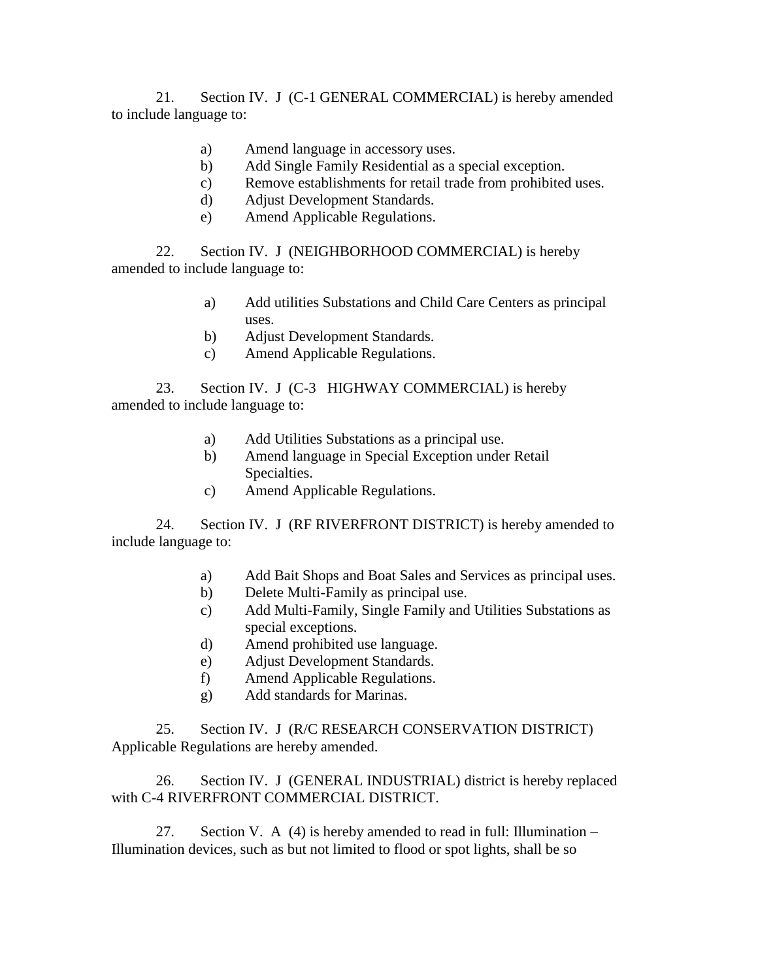21. Section IV. J (C-1 GENERAL COMMERCIAL) is hereby amended to include language to:

- a) Amend language in accessory uses.
- b) Add Single Family Residential as a special exception.
- c) Remove establishments for retail trade from prohibited uses.
- d) Adjust Development Standards.
- e) Amend Applicable Regulations.

22. Section IV. J (NEIGHBORHOOD COMMERCIAL) is hereby amended to include language to:

- a) Add utilities Substations and Child Care Centers as principal uses.
- b) Adjust Development Standards.
- c) Amend Applicable Regulations.

23. Section IV. J (C-3 HIGHWAY COMMERCIAL) is hereby amended to include language to:

- a) Add Utilities Substations as a principal use.
- b) Amend language in Special Exception under Retail Specialties.
- c) Amend Applicable Regulations.

24. Section IV. J (RF RIVERFRONT DISTRICT) is hereby amended to include language to:

- a) Add Bait Shops and Boat Sales and Services as principal uses.
- b) Delete Multi-Family as principal use.
- c) Add Multi-Family, Single Family and Utilities Substations as special exceptions.
- d) Amend prohibited use language.
- e) Adjust Development Standards.
- f) Amend Applicable Regulations.
- g) Add standards for Marinas.

25. Section IV. J (R/C RESEARCH CONSERVATION DISTRICT) Applicable Regulations are hereby amended.

26. Section IV. J (GENERAL INDUSTRIAL) district is hereby replaced with C-4 RIVERFRONT COMMERCIAL DISTRICT.

27. Section V. A  $(4)$  is hereby amended to read in full: Illumination – Illumination devices, such as but not limited to flood or spot lights, shall be so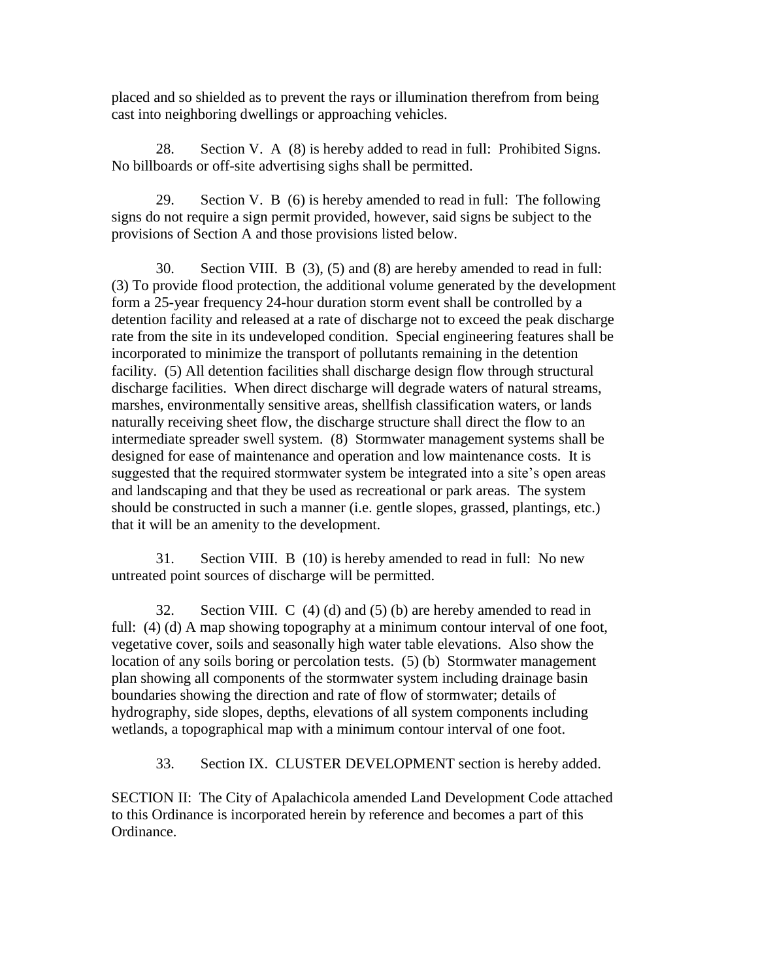placed and so shielded as to prevent the rays or illumination therefrom from being cast into neighboring dwellings or approaching vehicles.

28. Section V. A (8) is hereby added to read in full: Prohibited Signs. No billboards or off-site advertising sighs shall be permitted.

29. Section V. B (6) is hereby amended to read in full: The following signs do not require a sign permit provided, however, said signs be subject to the provisions of Section A and those provisions listed below.

30. Section VIII. B (3), (5) and (8) are hereby amended to read in full: (3) To provide flood protection, the additional volume generated by the development form a 25-year frequency 24-hour duration storm event shall be controlled by a detention facility and released at a rate of discharge not to exceed the peak discharge rate from the site in its undeveloped condition. Special engineering features shall be incorporated to minimize the transport of pollutants remaining in the detention facility. (5) All detention facilities shall discharge design flow through structural discharge facilities. When direct discharge will degrade waters of natural streams, marshes, environmentally sensitive areas, shellfish classification waters, or lands naturally receiving sheet flow, the discharge structure shall direct the flow to an intermediate spreader swell system. (8) Stormwater management systems shall be designed for ease of maintenance and operation and low maintenance costs. It is suggested that the required stormwater system be integrated into a site's open areas and landscaping and that they be used as recreational or park areas. The system should be constructed in such a manner (i.e. gentle slopes, grassed, plantings, etc.) that it will be an amenity to the development.

31. Section VIII. B (10) is hereby amended to read in full: No new untreated point sources of discharge will be permitted.

32. Section VIII. C (4) (d) and (5) (b) are hereby amended to read in full: (4) (d) A map showing topography at a minimum contour interval of one foot, vegetative cover, soils and seasonally high water table elevations. Also show the location of any soils boring or percolation tests. (5) (b) Stormwater management plan showing all components of the stormwater system including drainage basin boundaries showing the direction and rate of flow of stormwater; details of hydrography, side slopes, depths, elevations of all system components including wetlands, a topographical map with a minimum contour interval of one foot.

33. Section IX. CLUSTER DEVELOPMENT section is hereby added.

SECTION II: The City of Apalachicola amended Land Development Code attached to this Ordinance is incorporated herein by reference and becomes a part of this Ordinance.